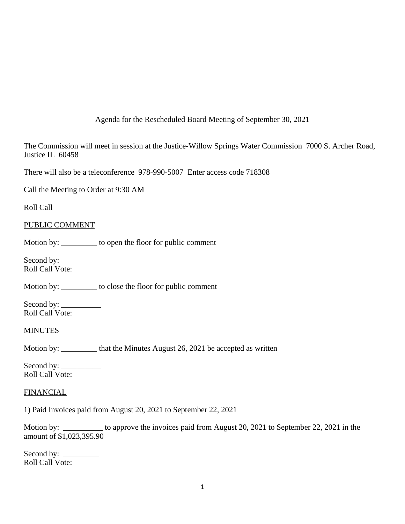## Agenda for the Rescheduled Board Meeting of September 30, 2021

The Commission will meet in session at the Justice-Willow Springs Water Commission 7000 S. Archer Road, Justice IL 60458

There will also be a teleconference 978-990-5007 Enter access code 718308

Call the Meeting to Order at 9:30 AM

Roll Call

## PUBLIC COMMENT

Motion by: \_\_\_\_\_\_\_\_\_ to open the floor for public comment

Second by: Roll Call Vote:

Motion by: \_\_\_\_\_\_\_\_\_ to close the floor for public comment

Second by: \_\_\_\_\_\_\_\_\_\_ Roll Call Vote:

## **MINUTES**

Motion by: \_\_\_\_\_\_\_\_\_ that the Minutes August 26, 2021 be accepted as written

Second by: \_\_\_\_\_\_\_\_\_\_ Roll Call Vote:

## FINANCIAL

1) Paid Invoices paid from August 20, 2021 to September 22, 2021

Motion by: \_\_\_\_\_\_\_\_\_\_ to approve the invoices paid from August 20, 2021 to September 22, 2021 in the amount of \$1,023,395.90

Second by:  $\_\_$ Roll Call Vote: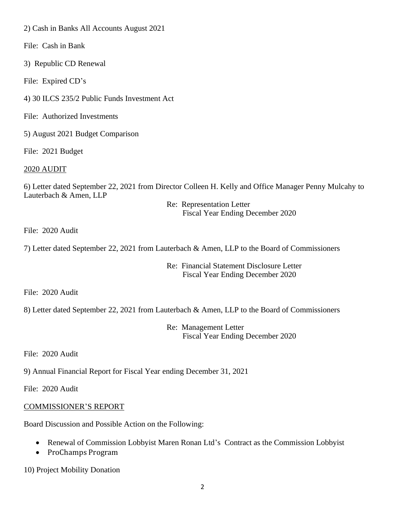2) Cash in Banks All Accounts August 2021

File: Cash in Bank

3) Republic CD Renewal

File: Expired CD's

4) 30 ILCS 235/2 Public Funds Investment Act

File: Authorized Investments

5) August 2021 Budget Comparison

File: 2021 Budget

## 2020 AUDIT

6) Letter dated September 22, 2021 from Director Colleen H. Kelly and Office Manager Penny Mulcahy to Lauterbach & Amen, LLP

Re: Representation Letter Fiscal Year Ending December 2020

## File: 2020 Audit

7) Letter dated September 22, 2021 from Lauterbach & Amen, LLP to the Board of Commissioners

Re: Financial Statement Disclosure Letter Fiscal Year Ending December 2020

File: 2020 Audit

8) Letter dated September 22, 2021 from Lauterbach & Amen, LLP to the Board of Commissioners

Re: Management Letter Fiscal Year Ending December 2020

File: 2020 Audit

9) Annual Financial Report for Fiscal Year ending December 31, 2021

File: 2020 Audit

## COMMISSIONER'S REPORT

Board Discussion and Possible Action on the Following:

- Renewal of Commission Lobbyist Maren Ronan Ltd's Contract as the Commission Lobbyist
- ProChamps Program

10) Project Mobility Donation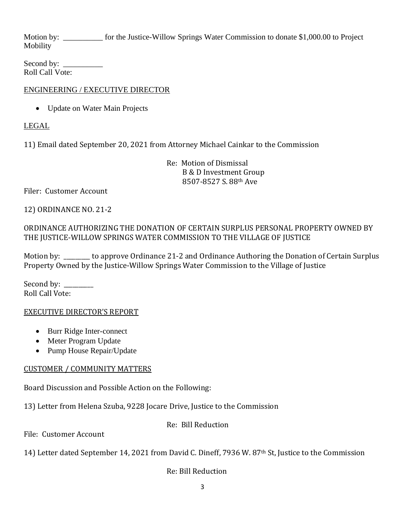Motion by: for the Justice-Willow Springs Water Commission to donate \$1,000.00 to Project Mobility

Second by: \_\_\_\_\_\_\_\_\_\_ Roll Call Vote:

# ENGINEERING / EXECUTIVE DIRECTOR

• Update on Water Main Projects

# LEGAL

11) Email dated September 20, 2021 from Attorney Michael Cainkar to the Commission

Re: Motion of Dismissal B & D Investment Group 8507-8527 S. 88th Ave

Filer: Customer Account

12) ORDINANCE NO. 21-2

ORDINANCE AUTHORIZING THE DONATION OF CERTAIN SURPLUS PERSONAL PROPERTY OWNED BY THE JUSTICE-WILLOW SPRINGS WATER COMMISSION TO THE VILLAGE OF JUSTICE

Motion by: to approve Ordinance 21-2 and Ordinance Authoring the Donation of Certain Surplus Property Owned by the Justice-Willow Springs Water Commission to the Village of Justice

Second by: Roll Call Vote:

## EXECUTIVE DIRECTOR'S REPORT

- Burr Ridge Inter-connect
- Meter Program Update
- Pump House Repair/Update

## CUSTOMER / COMMUNITY MATTERS

Board Discussion and Possible Action on the Following:

13) Letter from Helena Szuba, 9228 Jocare Drive, Justice to the Commission

Re: Bill Reduction

File: Customer Account

14) Letter dated September 14, 2021 from David C. Dineff, 7936 W. 87<sup>th</sup> St, Justice to the Commission

Re: Bill Reduction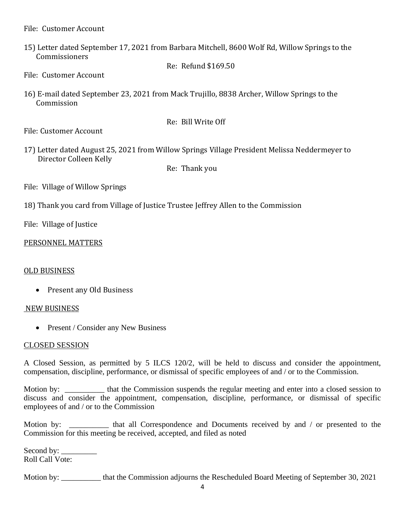File: Customer Account

15) Letter dated September 17, 2021 from Barbara Mitchell, 8600 Wolf Rd, Willow Springs to the Commissioners

Re: Refund \$169.50

- File: Customer Account
- 16) E-mail dated September 23, 2021 from Mack Trujillo, 8838 Archer, Willow Springs to the Commission

File: Customer Account

17) Letter dated August 25, 2021 from Willow Springs Village President Melissa Neddermeyer to Director Colleen Kelly

Re: Thank you

Re: Bill Write Off

- File: Village of Willow Springs
- 18) Thank you card from Village of Justice Trustee Jeffrey Allen to the Commission
- File: Village of Justice

### PERSONNEL MATTERS

#### OLD BUSINESS

• Present any Old Business

## NEW BUSINESS

• Present / Consider any New Business

#### CLOSED SESSION

A Closed Session, as permitted by 5 ILCS 120/2, will be held to discuss and consider the appointment, compensation, discipline, performance, or dismissal of specific employees of and / or to the Commission.

Motion by: \_\_\_\_\_\_\_\_\_\_\_ that the Commission suspends the regular meeting and enter into a closed session to discuss and consider the appointment, compensation, discipline, performance, or dismissal of specific employees of and / or to the Commission

Motion by: \_\_\_\_\_\_\_\_\_\_ that all Correspondence and Documents received by and / or presented to the Commission for this meeting be received, accepted, and filed as noted

Second by: Roll Call Vote:

Motion by: that the Commission adjourns the Rescheduled Board Meeting of September 30, 2021